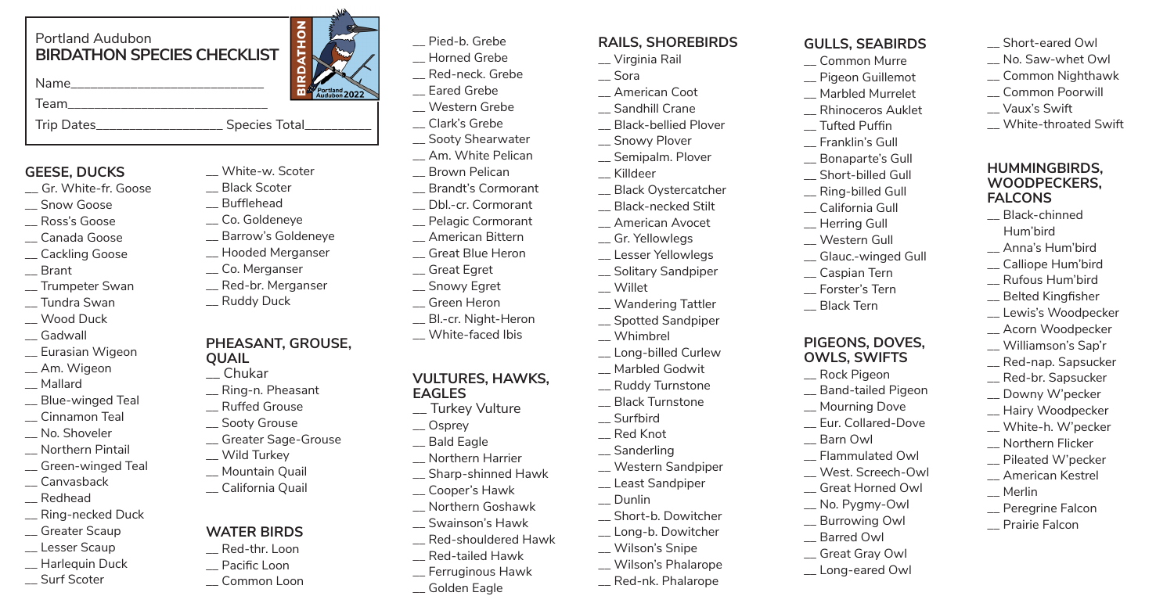## Portland Audubon **BIRDATHON SPECIES CHECKLIST**

Name

Team\_\_\_\_\_\_\_\_\_\_\_\_\_\_\_\_\_\_\_\_\_\_\_\_\_\_\_\_\_\_

Trip Dates<br>
Trip Dates

# **GEESE, DUCKS**

- \_\_ Gr. White-fr. Goose
- \_\_ Snow Goose
- \_\_ Ross's Goose
- \_\_ Canada Goose
- \_\_ Cackling Goose
- \_\_ Brant
- \_\_ Trumpeter Swan
- \_\_ Tundra Swan
- \_\_ Wood Duck
- \_\_ Gadwall
- \_\_ Eurasian Wigeon
- Am. Wigeon
- \_\_ Mallard
- \_\_ Blue-winged Teal
- \_\_ Cinnamon Teal
- No. Shoveler
- \_\_ Northern Pintail
- \_\_ Green-winged Teal
- \_\_ Canvasback
- \_\_ Redhead
- \_\_ Ring-necked Duck
- \_\_ Greater Scaup
- \_\_ Lesser Scaup
- \_\_ Harlequin Duck
- \_\_ Surf Scoter

# **NOHIN** 高  $\frac{\text{orthand}}{\text{odd} + \text{odd}}$  2022

\_\_ White-w. Scoter \_\_ Black Scoter \_\_ Bufflehead \_\_ Co. Goldeneye \_\_ Barrow's Goldeneye \_\_ Hooded Merganser \_\_ Co. Merganser \_\_ Red-br. Merganser \_\_ Ruddy Duck

**PHEASANT, GROUSE,** 

\_\_ Ring-n. Pheasant \_\_ Ruffed Grouse \_\_ Sooty Grouse \_\_ Greater Sage-Grouse

\_\_ Wild Turkey \_\_ Mountain Quail \_\_ California Quail

**WATER BIRDS** \_\_ Red-thr. Loon \_\_ Pacific Loon \_\_ Common Loon

**QUAIL** \_\_ Chukar

- Pied-b. Grebe
- \_\_ Horned Grebe
- \_\_ Red-neck. Grebe
- \_\_ Eared Grebe
- \_\_ Western Grebe
- \_\_ Clark's Grebe \_\_ Sooty Shearwater
- \_\_ Am. White Pelican
- \_\_ Brown Pelican
- \_\_ Brandt's Cormorant
- \_\_ Dbl.-cr. Cormorant
- \_\_ Pelagic Cormorant
- \_\_ American Bittern
- \_\_ Great Blue Heron
- \_\_ Great Egret
- \_\_ Snowy Egret
- \_\_ Green Heron
- \_\_ Bl.-cr. Night-Heron
- \_\_ White-faced Ibis

#### **VULTURES, HAWKS, EAGLES**

- \_\_ Turkey Vulture
- \_\_ Osprey
- \_\_ Bald Eagle
- \_\_ Northern Harrier
- \_\_ Sharp-shinned Hawk
- \_\_ Cooper's Hawk
- \_\_ Northern Goshawk \_\_ Swainson's Hawk
- \_\_ Red-shouldered Hawk
	-
- \_\_ Red-tailed Hawk
- \_\_ Ferruginous Hawk
- \_\_ Golden Eagle

# **RAILS, SHOREBIRDS**

- \_\_ Virginia Rail
- \_\_ Sora
- \_\_ American Coot Sandhill Crane
- \_\_ Black-bellied Plover
- \_\_ Snowy Plover
- \_\_ Semipalm. Plover
- \_\_ Killdeer
- \_\_ Black Oystercatcher
- \_\_ Black-necked Stilt
- \_\_ American Avocet
	- \_\_ Gr. Yellowlegs \_\_ Lesser Yellowlegs
	- \_\_ Solitary Sandpiper
	- \_\_ Willet
	- \_\_ Wandering Tattler
	- \_\_ Spotted Sandpiper
	- \_\_ Whimbrel
	- \_\_ Long-billed Curlew
	- \_\_ Marbled Godwit
	- \_\_ Ruddy Turnstone
	- \_\_ Black Turnstone \_\_ Surfbird
	- \_\_ Red Knot
	- \_\_ Sanderling
- - \_\_ Western Sandpiper \_\_ Least Sandpiper
- \_\_ Dunlin
- \_\_ Short-b. Dowitcher
	- \_\_ Long-b. Dowitcher
	- \_\_ Wilson's Snipe
		- \_\_ Wilson's Phalarope
		- \_\_ Red-nk. Phalarope

#### **GULLS, SEABIRDS**

Short-eared Owl \_\_ No. Saw-whet Owl \_\_ Common Nighthawk \_\_ Common Poorwill \_\_ Vaux's Swift

\_\_ White-throated Swift

**HUMMINGBIRDS, WOODPECKERS, FALCONS** \_\_ Black-chinned Hum'bird \_\_ Anna's Hum'bird \_\_ Calliope Hum'bird \_\_ Rufous Hum'bird \_\_ Belted Kingfisher \_\_ Lewis's Woodpecker \_\_ Acorn Woodpecker \_\_ Williamson's Sap'r \_\_ Red-nap. Sapsucker \_\_ Red-br. Sapsucker Downy W'pecker \_\_ Hairy Woodpecker \_\_ White-h. W'pecker \_\_ Northern Flicker \_\_ Pileated W'pecker \_\_ American Kestrel

\_\_ Merlin

\_\_ Peregrine Falcon \_\_ Prairie Falcon

- \_\_ Common Murre
- \_\_ Pigeon Guillemot
- \_\_ Marbled Murrelet
- \_\_ Rhinoceros Auklet

\_\_ Short-billed Gull \_\_ Ring-billed Gull \_\_ California Gull \_\_ Herring Gull \_\_ Western Gull \_\_ Glauc.-winged Gull \_\_ Caspian Tern \_\_ Forster's Tern \_\_ Black Tern

**PIGEONS, DOVES, OWLS, SWIFTS** \_\_ Rock Pigeon \_\_ Band-tailed Pigeon \_\_ Mourning Dove \_\_ Eur. Collared-Dove

\_\_ Barn Owl \_\_ Flammulated Owl \_\_ West. Screech-Owl \_\_ Great Horned Owl \_\_ No. Pygmy-Owl \_\_ Burrowing Owl \_\_ Barred Owl \_\_ Great Gray Owl \_\_ Long-eared Owl

- \_\_ Tufted Puffin
- \_\_ Franklin's Gull \_\_ Bonaparte's Gull